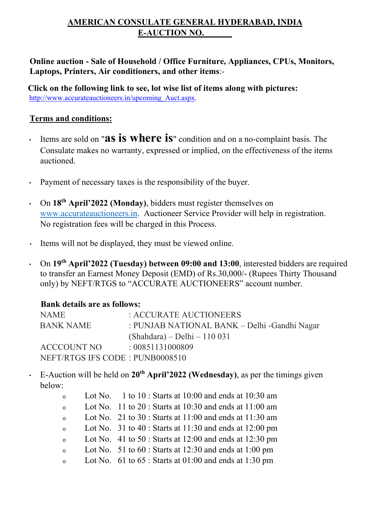## **AMERICAN CONSULATE GENERAL HYDERABAD, INDIA E-AUCTION NO. \_\_\_\_\_\_**

## **Online auction - Sale of Household / Office Furniture, Appliances, CPUs, Monitors, Laptops, Printers, Air conditioners, and other items**:-

 **Click on the following link to see, lot wise list of items along with pictures:** [http://www.accurateauctioneers.in/upcoming\\_Auct.aspx.](http://www.accurateauctioneers.in/upcoming_Auct.aspx)

## **Terms and conditions:**

- Items are sold on "**as is where is**" condition and on a no-complaint basis. The Consulate makes no warranty, expressed or implied, on the effectiveness of the items auctioned.
- Payment of necessary taxes is the responsibility of the buyer.
- On **18th April'2022 (Monday)**, bidders must register themselves on [www.accurateauctioneers.in.](http://www.accurateauctioneers.in/) Auctioneer Service Provider will help in registration. No registration fees will be charged in this Process.
- Items will not be displayed, they must be viewed online.
- On **19th April'2022 (Tuesday) between 09:00 and 13:00**, interested bidders are required to transfer an Earnest Money Deposit (EMD) of Rs.30,000/- (Rupees Thirty Thousand only) by NEFT/RTGS to "ACCURATE AUCTIONEERS" account number.

## **Bank details are as follows:**

| NAME                            | : ACCURATE AUCTIONEERS                       |
|---------------------------------|----------------------------------------------|
| BANK NAME                       | : PUNJAB NATIONAL BANK – Delhi -Gandhi Nagar |
|                                 | $(Shahdara) - Delhi - 110031$                |
| ACCCOUNT NO                     | : 00851131000809                             |
| NEFT/RTGS IFS CODE: PUNB0008510 |                                              |

• E-Auction will be held on **20th April'2022 (Wednesday)**, as per the timings given below:

| $\circ$  | Lot No. 1 to $10:$ Starts at $10:00$ and ends at $10:30$ am     |
|----------|-----------------------------------------------------------------|
| $\circ$  | Lot No. $11$ to $20$ : Starts at $10:30$ and ends at $11:00$ am |
| $\Omega$ | Lot No. $21$ to $30:$ Starts at $11:00$ and ends at $11:30$ am  |
| $\circ$  | Lot No. $31$ to 40 : Starts at 11:30 and ends at 12:00 pm       |
| $\circ$  | Lot No. $41$ to $50$ : Starts at 12:00 and ends at 12:30 pm     |
| $\Omega$ | Lot No. $51$ to $60$ : Starts at 12:30 and ends at 1:00 pm      |
| $\circ$  | Lot No. $61$ to $65$ : Starts at $01:00$ and ends at 1:30 pm    |